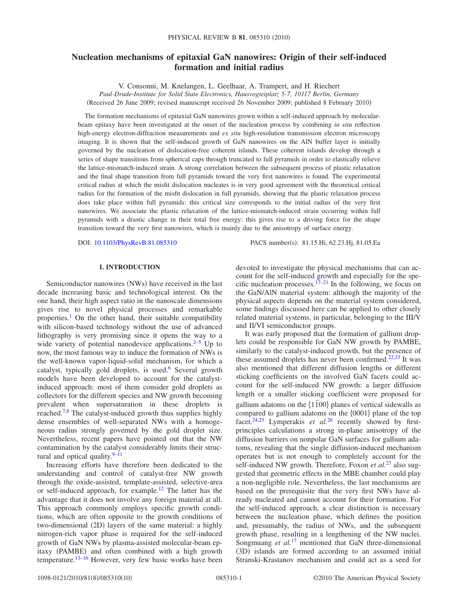# **Nucleation mechanisms of epitaxial GaN nanowires: Origin of their self-induced formation and initial radius**

V. Consonni, M. Knelangen, L. Geelhaar, A. Trampert, and H. Riechert

*Paul-Drude-Institute for Solid State Electronics, Hausvogteiplatz 5-7, 10117 Berlin, Germany* (Received 26 June 2009; revised manuscript received 26 November 2009; published 8 February 2010)

The formation mechanisms of epitaxial GaN nanowires grown within a self-induced approach by molecularbeam epitaxy have been investigated at the onset of the nucleation process by combining *in situ* reflection high-energy electron-diffraction measurements and *ex situ* high-resolution transmission electron microscopy imaging. It is shown that the self-induced growth of GaN nanowires on the AlN buffer layer is initially governed by the nucleation of dislocation-free coherent islands. These coherent islands develop through a series of shape transitions from spherical caps through truncated to full pyramids in order to elastically relieve the lattice-mismatch-induced strain. A strong correlation between the subsequent process of plastic relaxation and the final shape transition from full pyramids toward the very first nanowires is found. The experimental critical radius at which the misfit dislocation nucleates is in very good agreement with the theoretical critical radius for the formation of the misfit dislocation in full pyramids, showing that the plastic relaxation process does take place within full pyramids: this critical size corresponds to the initial radius of the very first nanowires. We associate the plastic relaxation of the lattice-mismatch-induced strain occurring within full pyramids with a drastic change in their total free energy: this gives rise to a driving force for the shape transition toward the very first nanowires, which is mainly due to the anisotropy of surface energy.

DOI: [10.1103/PhysRevB.81.085310](http://dx.doi.org/10.1103/PhysRevB.81.085310)

PACS number(s): 81.15.Hi, 62.23.Hj, 81.05.Ea

# **I. INTRODUCTION**

Semiconductor nanowires (NWs) have received in the last decade increasing basic and technological interest. On the one hand, their high aspect ratio in the nanoscale dimensions gives rise to novel physical processes and remarkable properties[.1](#page-8-0) On the other hand, their suitable compatibility with silicon-based technology without the use of advanced lithography is very promising since it opens the way to a wide variety of potential nanodevice applications. $2-5$  Up to now, the most famous way to induce the formation of NWs is the well-known vapor-liquid-solid mechanism, for which a catalyst, typically gold droplets, is used.<sup>6</sup> Several growth models have been developed to account for the catalystinduced approach: most of them consider gold droplets as collectors for the different species and NW growth becoming prevalent when supersaturation in these droplets is reached.<sup>7[,8](#page-8-5)</sup> The catalyst-induced growth thus supplies highly dense ensembles of well-separated NWs with a homogeneous radius strongly governed by the gold droplet size. Nevertheless, recent papers have pointed out that the NW contamination by the catalyst considerably limits their structural and optical quality. $9-11$ 

Increasing efforts have therefore been dedicated to the understanding and control of catalyst-free NW growth through the oxide-assisted, template-assisted, selective-area or self-induced approach, for example[.12](#page-8-8) The latter has the advantage that it does not involve any foreign material at all. This approach commonly employs specific growth conditions, which are often opposite to the growth conditions of two-dimensional (2D) layers of the same material: a highly nitrogen-rich vapor phase is required for the self-induced growth of GaN NWs by plasma-assisted molecular-beam epitaxy (PAMBE) and often combined with a high growth temperature.<sup>13–[16](#page-8-10)</sup> However, very few basic works have been devoted to investigate the physical mechanisms that can account for the self-induced growth and especially for the specific nucleation processes. $17-21$  $17-21$  In the following, we focus on the GaN/AlN material system: although the majority of the physical aspects depends on the material system considered, some findings discussed here can be applied to other closely related material systems, in particular, belonging to the III/V and II/VI semiconductor groups.

It was early proposed that the formation of gallium droplets could be responsible for GaN NW growth by PAMBE, similarly to the catalyst-induced growth, but the presence of these assumed droplets has never been confirmed.<sup>22,[23](#page-8-14)</sup> It was also mentioned that different diffusion lengths or different sticking coefficients on the involved GaN facets could account for the self-induced NW growth: a larger diffusion length or a smaller sticking coefficient were proposed for gallium adatoms on the  $\{1\bar{1}00\}$  planes of vertical sidewalls as compared to gallium adatoms on the  ${0001}$  plane of the top facet.<sup>24,[25](#page-8-16)</sup> Lymperakis *et al.*<sup>[26](#page-9-0)</sup> recently showed by firstprinciples calculations a strong in-plane anisotropy of the diffusion barriers on nonpolar GaN surfaces for gallium adatoms, revealing that the single diffusion-induced mechanism operates but is not enough to completely account for the self-induced NW growth. Therefore, Foxon *et al.*<sup>[27](#page-9-1)</sup> also suggested that geometric effects in the MBE chamber could play a non-negligible role. Nevertheless, the last mechanisms are based on the prerequisite that the very first NWs have already nucleated and cannot account for their formation. For the self-induced approach, a clear distinction is necessary between the nucleation phase, which defines the position and, presumably, the radius of NWs, and the subsequent growth phase, resulting in a lengthening of the NW nuclei. Songmuang *et al.*<sup>[17](#page-8-11)</sup> mentioned that GaN three-dimensional (3D) islands are formed according to an assumed initial Stranski-Krastanov mechanism and could act as a seed for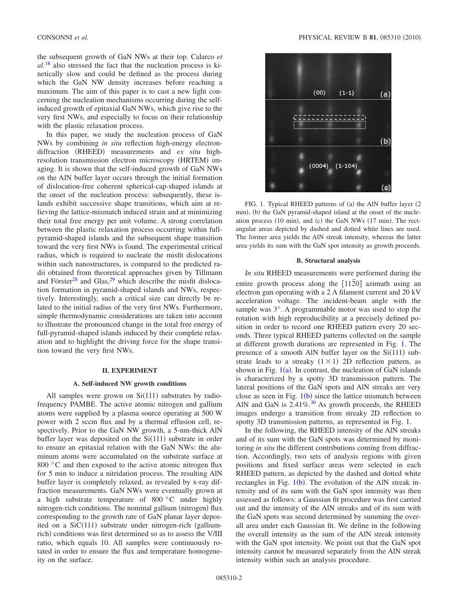the subsequent growth of GaN NWs at their top. Calarco *et al.*[18](#page-8-17) also stressed the fact that the nucleation process is kinetically slow and could be defined as the process during which the GaN NW density increases before reaching a maximum. The aim of this paper is to cast a new light concerning the nucleation mechanisms occurring during the selfinduced growth of epitaxial GaN NWs, which give rise to the very first NWs, and especially to focus on their relationship with the plastic relaxation process.

In this paper, we study the nucleation process of GaN NWs by combining *in situ* reflection high-energy electrondiffraction (RHEED) measurements and *ex situ* highresolution transmission electron microscopy (HRTEM) imaging. It is shown that the self-induced growth of GaN NWs on the AlN buffer layer occurs through the initial formation of dislocation-free coherent spherical-cap-shaped islands at the onset of the nucleation process: subsequently, these islands exhibit successive shape transitions, which aim at relieving the lattice-mismatch induced strain and at minimizing their total free energy per unit volume. A strong correlation between the plastic relaxation process occurring within fullpyramid-shaped islands and the subsequent shape transition toward the very first NWs is found. The experimental critical radius, which is required to nucleate the misfit dislocations within such nanostructures, is compared to the predicted radii obtained from theoretical approaches given by Tillmann and Förster<sup>28</sup> and Glas,<sup>29</sup> which describe the misfit dislocation formation in pyramid-shaped islands and NWs, respectively. Interestingly, such a critical size can directly be related to the initial radius of the very first NWs. Furthermore, simple thermodynamic considerations are taken into account to illustrate the pronounced change in the total free energy of full-pyramid-shaped islands induced by their complete relaxation and to highlight the driving force for the shape transition toward the very first NWs.

#### **II. EXPERIMENT**

## **A. Self-induced NW growth conditions**

All samples were grown on  $Si(111)$  substrates by radiofrequency PAMBE. The active atomic nitrogen and gallium atoms were supplied by a plasma source operating at 500 W power with 2 sccm flux and by a thermal effusion cell, respectively. Prior to the GaN NW growth, a 5-nm-thick AlN buffer layer was deposited on the  $Si(111)$  substrate in order to ensure an epitaxial relation with the GaN NWs: the aluminum atoms were accumulated on the substrate surface at 800 °C and then exposed to the active atomic nitrogen flux for 5 min to induce a nitridation process. The resulting AlN buffer layer is completely relaxed, as revealed by x-ray diffraction measurements. GaN NWs were eventually grown at a high substrate temperature of 800 °C under highly nitrogen-rich conditions. The nominal gallium (nitrogen) flux corresponding to the growth rate of GaN planar layer deposited on a SiC(111) substrate under nitrogen-rich (galliumrich) conditions was first determined so as to assess the V/III ratio, which equals 10. All samples were continuously rotated in order to ensure the flux and temperature homogeneity on the surface.

<span id="page-1-0"></span>

FIG. 1. Typical RHEED patterns of (a) the AlN buffer layer (2 min), (b) the GaN pyramid-shaped island at the onset of the nucleation process (10 min), and (c) the GaN NWs (17 min). The rectangular areas depicted by dashed and dotted white lines are used. The former area yields the AlN streak intensity, whereas the latter area yields its sum with the GaN spot intensity as growth proceeds.

#### **B. Structural analysis**

*In situ* RHEED measurements were performed during the entire growth process along the [1120] azimuth using an electron gun operating with a 2 A filament current and 20 kV acceleration voltage. The incident-beam angle with the sample was 3°. A programmable motor was used to stop the rotation with high reproducibility at a precisely defined position in order to record one RHEED pattern every 20 seconds. Three typical RHEED patterns collected on the sample at different growth durations are represented in Fig. [1.](#page-1-0) The presence of a smooth AlN buffer layer on the  $Si(111)$  substrate leads to a streaky  $(1 \times 1)$  2D reflection pattern, as shown in Fig.  $1(a)$  $1(a)$ . In contrast, the nucleation of GaN islands is characterized by a spotty 3D transmission pattern. The lateral positions of the GaN spots and AlN streaks are very close as seen in Fig.  $1(b)$  $1(b)$  since the lattice mismatch between AlN and GaN is  $2.41\%$ .<sup>30</sup> As growth proceeds, the RHEED images undergo a transition from streaky 2D reflection to spotty 3D transmission patterns, as represented in Fig. [1.](#page-1-0)

In the following, the RHEED intensity of the AlN streaks and of its sum with the GaN spots was determined by monitoring *in situ* the different contributions coming from diffraction. Accordingly, two sets of analysis regions with given positions and fixed surface areas were selected in each RHEED pattern, as depicted by the dashed and dotted white rectangles in Fig.  $1(b)$  $1(b)$ . The evolution of the AlN streak intensity and of its sum with the GaN spot intensity was then assessed as follows: a Gaussian fit procedure was first carried out and the intensity of the AlN streaks and of its sum with the GaN spots was second determined by summing the overall area under each Gaussian fit. We define in the following the overall intensity as the sum of the AlN streak intensity with the GaN spot intensity. We point out that the GaN spot intensity cannot be measured separately from the AlN streak intensity within such an analysis procedure.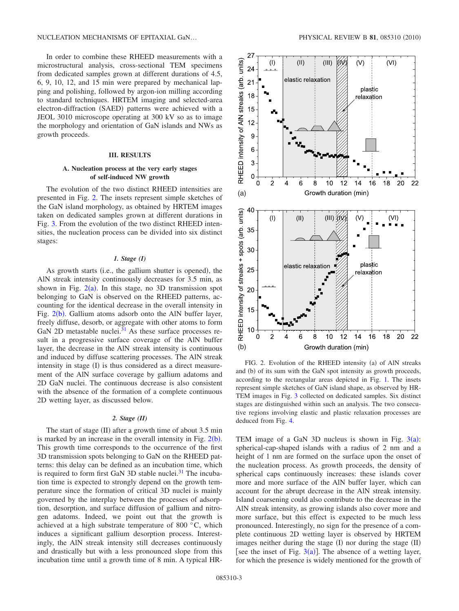In order to combine these RHEED measurements with a microstructural analysis, cross-sectional TEM specimens from dedicated samples grown at different durations of 4.5, 6, 9, 10, 12, and 15 min were prepared by mechanical lapping and polishing, followed by argon-ion milling according to standard techniques. HRTEM imaging and selected-area electron-diffraction (SAED) patterns were achieved with a JEOL 3010 microscope operating at 300 kV so as to image the morphology and orientation of GaN islands and NWs as growth proceeds.

#### **III. RESULTS**

# **A. Nucleation process at the very early stages of self-induced NW growth**

The evolution of the two distinct RHEED intensities are presented in Fig. [2.](#page-2-0) The insets represent simple sketches of the GaN island morphology, as obtained by HRTEM images taken on dedicated samples grown at different durations in Fig. [3.](#page-3-0) From the evolution of the two distinct RHEED intensities, the nucleation process can be divided into six distinct stages:

#### *1. Stage (I)*

As growth starts (i.e., the gallium shutter is opened), the AlN streak intensity continuously decreases for 3.5 min, as shown in Fig.  $2(a)$  $2(a)$ . In this stage, no 3D transmission spot belonging to GaN is observed on the RHEED patterns, accounting for the identical decrease in the overall intensity in Fig.  $2(b)$  $2(b)$ . Gallium atoms adsorb onto the AlN buffer layer, freely diffuse, desorb, or aggregate with other atoms to form GaN 2D metastable nuclei. $31$  As these surface processes result in a progressive surface coverage of the AlN buffer layer, the decrease in the AlN streak intensity is continuous and induced by diffuse scattering processes. The AlN streak intensity in stage (I) is thus considered as a direct measurement of the AlN surface coverage by gallium adatoms and 2D GaN nuclei. The continuous decrease is also consistent with the absence of the formation of a complete continuous 2D wetting layer, as discussed below.

#### *2. Stage (II)*

The start of stage  $(II)$  after a growth time of about 3.5 min is marked by an increase in the overall intensity in Fig.  $2(b)$  $2(b)$ . This growth time corresponds to the occurrence of the first 3D transmission spots belonging to GaN on the RHEED patterns: this delay can be defined as an incubation time, which is required to form first GaN 3D stable nuclei. $31$  The incubation time is expected to strongly depend on the growth temperature since the formation of critical 3D nuclei is mainly governed by the interplay between the processes of adsorption, desorption, and surface diffusion of gallium and nitrogen adatoms. Indeed, we point out that the growth is achieved at a high substrate temperature of 800 °C, which induces a significant gallium desorption process. Interestingly, the AlN streak intensity still decreases continuously and drastically but with a less pronounced slope from this incubation time until a growth time of 8 min. A typical HR-

<span id="page-2-0"></span>

FIG. 2. Evolution of the RHEED intensity (a) of AlN streaks and (b) of its sum with the GaN spot intensity as growth proceeds, according to the rectangular areas depicted in Fig. [1.](#page-1-0) The insets represent simple sketches of GaN island shape, as observed by HR-TEM images in Fig. [3](#page-3-0) collected on dedicated samples. Six distinct stages are distinguished within such an analysis. The two consecutive regions involving elastic and plastic relaxation processes are deduced from Fig. [4.](#page-4-0)

TEM image of a GaN [3](#page-3-0)D nucleus is shown in Fig.  $3(a)$ : spherical-cap-shaped islands with a radius of 2 nm and a height of 1 nm are formed on the surface upon the onset of the nucleation process. As growth proceeds, the density of spherical caps continuously increases: these islands cover more and more surface of the AlN buffer layer, which can account for the abrupt decrease in the AlN streak intensity. Island coarsening could also contribute to the decrease in the AlN streak intensity, as growing islands also cover more and more surface, but this effect is expected to be much less pronounced. Interestingly, no sign for the presence of a complete continuous 2D wetting layer is observed by HRTEM images neither during the stage (I) nor during the stage (II) [see the inset of Fig.  $3(a)$  $3(a)$ ]. The absence of a wetting layer, for which the presence is widely mentioned for the growth of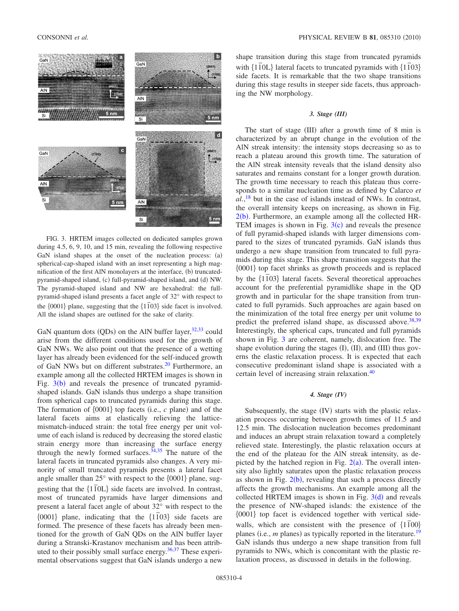<span id="page-3-0"></span>

FIG. 3. HRTEM images collected on dedicated samples grown during 4.5, 6, 9, 10, and 15 min, revealing the following respective GaN island shapes at the onset of the nucleation process: (a) spherical-cap-shaped island with an inset representing a high magnification of the first AlN monolayers at the interface, (b) truncatedpyramid-shaped island, (c) full-pyramid-shaped island, and (d) NW. The pyramid-shaped island and NW are hexahedral: the fullpyramid-shaped island presents a facet angle of 32° with respect to the  $\{0001\}$  plane, suggesting that the  $\{1\overline{1}03\}$  side facet is involved. All the island shapes are outlined for the sake of clarity.

GaN quantum dots  $(QDs)$  on the AlN buffer layer,  $32,33$  $32,33$  could arise from the different conditions used for the growth of GaN NWs. We also point out that the presence of a wetting layer has already been evidenced for the self-induced growth of GaN NWs but on different substrates.<sup>20</sup> Furthermore, an example among all the collected HRTEM images is shown in Fig.  $3(b)$  $3(b)$  and reveals the presence of truncated pyramidshaped islands. GaN islands thus undergo a shape transition from spherical caps to truncated pyramids during this stage. The formation of  $\{0001\}$  top facets (i.e.,  $c$  plane) and of the lateral facets aims at elastically relieving the latticemismatch-induced strain: the total free energy per unit volume of each island is reduced by decreasing the stored elastic strain energy more than increasing the surface energy through the newly formed surfaces.  $34,35$  $34,35$  The nature of the lateral facets in truncated pyramids also changes. A very minority of small truncated pyramids presents a lateral facet angle smaller than  $25^{\circ}$  with respect to the  $\{0001\}$  plane, suggesting that the  ${1\overline{10L}}$  side facets are involved. In contrast, most of truncated pyramids have larger dimensions and present a lateral facet angle of about 32° with respect to the  $\{0001\}$  plane, indicating that the  $\{1\overline{1}03\}$  side facets are formed. The presence of these facets has already been mentioned for the growth of GaN QDs on the AlN buffer layer during a Stranski-Krastanov mechanism and has been attributed to their possibly small surface energy.  $36,37$  $36,37$  These experimental observations suggest that GaN islands undergo a new shape transition during this stage from truncated pyramids with  $\{1\bar{1}0L\}$  lateral facets to truncated pyramids with  $\{1\bar{1}03\}$ side facets. It is remarkable that the two shape transitions during this stage results in steeper side facets, thus approaching the NW morphology.

## *3. Stage (III)*

The start of stage (III) after a growth time of 8 min is characterized by an abrupt change in the evolution of the AlN streak intensity: the intensity stops decreasing so as to reach a plateau around this growth time. The saturation of the AlN streak intensity reveals that the island density also saturates and remains constant for a longer growth duration. The growth time necessary to reach this plateau thus corresponds to a similar nucleation time as defined by Calarco *et al.*, [18](#page-8-17) but in the case of islands instead of NWs. In contrast, the overall intensity keeps on increasing, as shown in Fig.  $2(b)$  $2(b)$ . Furthermore, an example among all the collected HR-TEM images is shown in Fig.  $3(c)$  $3(c)$  and reveals the presence of full pyramid-shaped islands with larger dimensions compared to the sizes of truncated pyramids. GaN islands thus undergo a new shape transition from truncated to full pyramids during this stage. This shape transition suggests that the 0001 top facet shrinks as growth proceeds and is replaced by the  $\{1\overline{1}03\}$  lateral facets. Several theoretical approaches account for the preferential pyramidlike shape in the QD growth and in particular for the shape transition from truncated to full pyramids. Such approaches are again based on the minimization of the total free energy per unit volume to predict the preferred island shape, as discussed above.<sup>38[,39](#page-9-13)</sup> Interestingly, the spherical caps, truncated and full pyramids shown in Fig. [3](#page-3-0) are coherent, namely, dislocation free. The shape evolution during the stages  $(I)$ ,  $(II)$ , and  $(III)$  thus governs the elastic relaxation process. It is expected that each consecutive predominant island shape is associated with a certain level of increasing strain relaxation[.40](#page-9-14)

## *4. Stage (IV)*

Subsequently, the stage (IV) starts with the plastic relaxation process occurring between growth times of 11.5 and 12.5 min. The dislocation nucleation becomes predominant and induces an abrupt strain relaxation toward a completely relieved state. Interestingly, the plastic relaxation occurs at the end of the plateau for the AlN streak intensity, as depicted by the hatched region in Fig.  $2(a)$  $2(a)$ . The overall intensity also lightly saturates upon the plastic relaxation process as shown in Fig.  $2(b)$  $2(b)$ , revealing that such a process directly affects the growth mechanisms. An example among all the collected HRTEM images is shown in Fig.  $3(d)$  $3(d)$  and reveals the presence of NW-shaped islands: the existence of the {0001} top facet is evidenced together with vertical sidewalls, which are consistent with the presence of  ${1\overline{100}}$ planes (i.e., *m* planes) as typically reported in the literature.<sup>19</sup> GaN islands thus undergo a new shape transition from full pyramids to NWs, which is concomitant with the plastic relaxation process, as discussed in details in the following.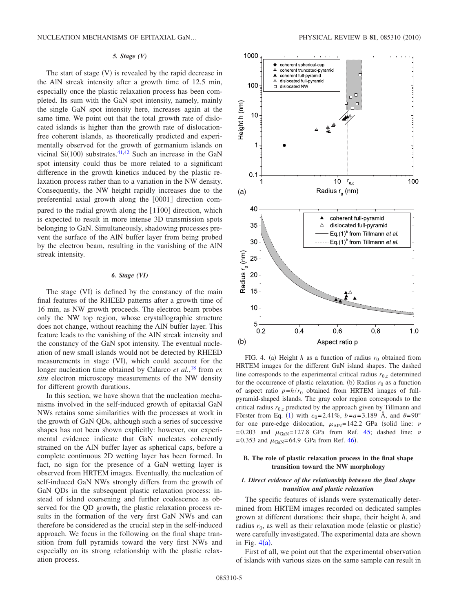NUCLEATION MECHANISMS OF EPITAXIAL GaN...

# *5. Stage (V)*

The start of stage  $(V)$  is revealed by the rapid decrease in the AlN streak intensity after a growth time of 12.5 min, especially once the plastic relaxation process has been completed. Its sum with the GaN spot intensity, namely, mainly the single GaN spot intensity here, increases again at the same time. We point out that the total growth rate of dislocated islands is higher than the growth rate of dislocationfree coherent islands, as theoretically predicted and experimentally observed for the growth of germanium islands on vicinal  $Si(100)$  substrates.<sup>41,[42](#page-9-16)</sup> Such an increase in the GaN spot intensity could thus be more related to a significant difference in the growth kinetics induced by the plastic relaxation process rather than to a variation in the NW density. Consequently, the NW height rapidly increases due to the preferential axial growth along the [0001] direction compared to the radial growth along the  $\lceil 1\overline{1}00 \rceil$  direction, which is expected to result in more intense 3D transmission spots belonging to GaN. Simultaneously, shadowing processes prevent the surface of the AlN buffer layer from being probed by the electron beam, resulting in the vanishing of the AlN streak intensity.

## *6. Stage (VI)*

The stage (VI) is defined by the constancy of the main final features of the RHEED patterns after a growth time of 16 min, as NW growth proceeds. The electron beam probes only the NW top region, whose crystallographic structure does not change, without reaching the AlN buffer layer. This feature leads to the vanishing of the AlN streak intensity and the constancy of the GaN spot intensity. The eventual nucleation of new small islands would not be detected by RHEED measurements in stage (VI), which could account for the longer nucleation time obtained by Calarco *et al.*, [18](#page-8-17) from *ex situ* electron microscopy measurements of the NW density for different growth durations.

In this section, we have shown that the nucleation mechanisms involved in the self-induced growth of epitaxial GaN NWs retains some similarities with the processes at work in the growth of GaN QDs, although such a series of successive shapes has not been shown explicitly: however, our experimental evidence indicate that GaN nucleates coherently strained on the AlN buffer layer as spherical caps, before a complete continuous 2D wetting layer has been formed. In fact, no sign for the presence of a GaN wetting layer is observed from HRTEM images. Eventually, the nucleation of self-induced GaN NWs strongly differs from the growth of GaN QDs in the subsequent plastic relaxation process: instead of island coarsening and further coalescence as observed for the QD growth, the plastic relaxation process results in the formation of the very first GaN NWs and can therefore be considered as the crucial step in the self-induced approach. We focus in the following on the final shape transition from full pyramids toward the very first NWs and especially on its strong relationship with the plastic relaxation process.

<span id="page-4-0"></span>

FIG. 4. (a) Height *h* as a function of radius  $r_0$  obtained from HRTEM images for the different GaN island shapes. The dashed line corresponds to the experimental critical radius  $r_{0,c}$  determined for the occurrence of plastic relaxation. (b) Radius  $r_0$  as a function of aspect ratio  $p=h/r_0$  obtained from HRTEM images of fullpyramid-shaped islands. The gray color region corresponds to the critical radius  $r_{0,c}$  predicted by the approach given by Tillmann and Förster from Eq. ([1](#page-5-0)) with  $\varepsilon_0 = 2.41\%$ ,  $b = a = 3.189$  Å, and  $\theta = 90^\circ$ for one pure-edge dislocation,  $\mu_{\text{AlN}}$ = 142.2 GPa (solid line:  $\nu$ = 0.203 and  $\mu$ <sub>GaN</sub> = 127.8 GPa from Ref. [45;](#page-9-17) dashed line:  $\nu$  $= 0.353$  and  $\mu_{\text{GaN}} = 64.9$  GPa from Ref. [46](#page-9-18)).

## **B. The role of plastic relaxation process in the final shape transition toward the NW morphology**

## *1. Direct evidence of the relationship between the final shape transition and plastic relaxation*

The specific features of islands were systematically determined from HRTEM images recorded on dedicated samples grown at different durations: their shape, their height *h*, and radius  $r_0$ , as well as their relaxation mode (elastic or plastic) were carefully investigated. The experimental data are shown in Fig.  $4(a)$  $4(a)$ .

First of all, we point out that the experimental observation of islands with various sizes on the same sample can result in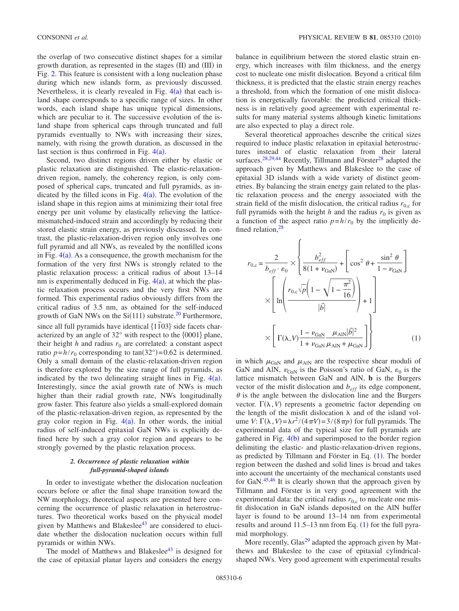the overlap of two consecutive distinct shapes for a similar growth duration, as represented in the stages (II) and (III) in Fig. [2.](#page-2-0) This feature is consistent with a long nucleation phase during which new islands form, as previously discussed. Nevertheless, it is clearly revealed in Fig.  $4(a)$  $4(a)$  that each island shape corresponds to a specific range of sizes. In other words, each island shape has unique typical dimensions, which are peculiar to it. The successive evolution of the island shape from spherical caps through truncated and full pyramids eventually to NWs with increasing their sizes, namely, with rising the growth duration, as discussed in the last section is thus confirmed in Fig.  $4(a)$  $4(a)$ .

Second, two distinct regions driven either by elastic or plastic relaxation are distinguished. The elastic-relaxationdriven region, namely, the coherency region, is only composed of spherical caps, truncated and full pyramids, as indicated by the filled icons in Fig.  $4(a)$  $4(a)$ . The evolution of the island shape in this region aims at minimizing their total free energy per unit volume by elastically relieving the latticemismatched-induced strain and accordingly by reducing their stored elastic strain energy, as previously discussed. In contrast, the plastic-relaxation-driven region only involves one full pyramid and all NWs, as revealed by the nonfilled icons in Fig.  $4(a)$  $4(a)$ . As a consequence, the growth mechanism for the formation of the very first NWs is strongly related to the plastic relaxation process: a critical radius of about 13–14 nm is experimentally deduced in Fig.  $4(a)$  $4(a)$ , at which the plastic relaxation process occurs and the very first NWs are formed. This experimental radius obviously differs from the critical radius of 3.5 nm, as obtained for the self-induced growth of GaN NWs on the  $Si(111)$  substrate.<sup>20</sup> Furthermore, since all full pyramids have identical  $\{1103\}$  side facets characterized by an angle of  $32^{\circ}$  with respect to the  $\{0001\}$  plane, their height *h* and radius  $r_0$  are correlated: a constant aspect ratio  $p=h/r_0$  corresponding to  $tan(32^\circ) = 0.62$  is determined. Only a small domain of the elastic-relaxation-driven region is therefore explored by the size range of full pyramids, as indicated by the two delineating straight lines in Fig.  $4(a)$  $4(a)$ . Interestingly, since the axial growth rate of NWs is much higher than their radial growth rate, NWs longitudinally grow faster. This feature also yields a small-explored domain of the plastic-relaxation-driven region, as represented by the gray color region in Fig.  $4(a)$  $4(a)$ . In other words, the initial radius of self-induced epitaxial GaN NWs is explicitly defined here by such a gray color region and appears to be strongly governed by the plastic relaxation process.

# *2. Occurrence of plastic relaxation within full-pyramid-shaped islands*

In order to investigate whether the dislocation nucleation occurs before or after the final shape transition toward the NW morphology, theoretical aspects are presented here concerning the occurrence of plastic relaxation in heterostructures. Two theoretical works based on the physical model given by Matthews and Blakeslee<sup>43</sup> are considered to elucidate whether the dislocation nucleation occurs within full pyramids or within NWs.

The model of Matthews and Blakeslee<sup>43</sup> is designed for the case of epitaxial planar layers and considers the energy balance in equilibrium between the stored elastic strain energy, which increases with film thickness, and the energy cost to nucleate one misfit dislocation. Beyond a critical film thickness, it is predicted that the elastic strain energy reaches a threshold, from which the formation of one misfit dislocation is energetically favorable: the predicted critical thickness is in relatively good agreement with experimental results for many material systems although kinetic limitations are also expected to play a direct role.

Several theoretical approaches describe the critical sizes required to induce plastic relaxation in epitaxial heterostructures instead of elastic relaxation from their lateral surfaces.<sup>28,[29,](#page-9-3)[44](#page-9-20)</sup> Recently, Tillmann and Förster<sup>28</sup> adapted the approach given by Matthews and Blakeslee to the case of epitaxial 3D islands with a wide variety of distinct geometries. By balancing the strain energy gain related to the plastic relaxation process and the energy associated with the strain field of the misfit dislocation, the critical radius  $r_{0,c}$  for full pyramids with the height *h* and the radius  $r_0$  is given as a function of the aspect ratio  $p=h/r_0$  by the implicitly defined relation, $28$ 

<span id="page-5-0"></span>
$$
r_{0,c} = \frac{2}{b_{eff} \cdot \varepsilon_0} \times \left\{ \frac{b_{eff}^2}{8(1 + \nu_{\text{Gal}})} + \left[\cos^2 \theta + \frac{\sin^2 \theta}{1 - \nu_{\text{Gal}}}\right] \right\}
$$

$$
\times \left[\ln \left( \frac{r_{0,c} \sqrt{p} \left(1 - \sqrt{1 - \frac{\pi^2}{16}}\right)}{|\vec{b}|}\right) + 1 \right]
$$

$$
\times \left[\Gamma(\lambda, V) \frac{1 - \nu_{\text{Gal}}}{1 + \nu_{\text{Gal}} \mu_{\text{Al}} + \mu_{\text{Gal}}}\right] \right\} \tag{1}
$$

in which  $\mu_{\text{GaN}}$  and  $\mu_{\text{AlN}}$  are the respective shear moduli of GaN and AlN,  $\nu_{\text{GaN}}$  is the Poisson's ratio of GaN,  $\varepsilon_0$  is the lattice mismatch between GaN and AlN, **b** is the Burgers vector of the misfit dislocation and  $b_{\text{eff}}$  its edge component,  $\theta$  is the angle between the dislocation line and the Burgers vector.  $\Gamma(\lambda, V)$  represents a geometric factor depending on the length of the misfit dislocation  $\lambda$  and of the island volume *V*:  $\Gamma(\lambda, V) = \lambda r^2 / (4 \pi V) = 3/(8 \pi p)$  for full pyramids. The experimental data of the typical size for full pyramids are gathered in Fig.  $4(b)$  $4(b)$  and superimposed to the border region delimiting the elastic- and plastic-relaxation-driven regions, as predicted by Tillmann and Förster in Eq.  $(1)$  $(1)$  $(1)$ . The border region between the dashed and solid lines is broad and takes into account the uncertainty of the mechanical constants used for GaN. $45,46$  $45,46$  It is clearly shown that the approach given by Tillmann and Förster is in very good agreement with the experimental data: the critical radius  $r_{0,c}$  to nucleate one misfit dislocation in GaN islands deposited on the AlN buffer layer is found to be around 13–14 nm from experimental results and around  $11.5-13$  $11.5-13$  nm from Eq.  $(1)$  for the full pyramid morphology.

More recently, Glas $^{29}$  adapted the approach given by Matthews and Blakeslee to the case of epitaxial cylindricalshaped NWs. Very good agreement with experimental results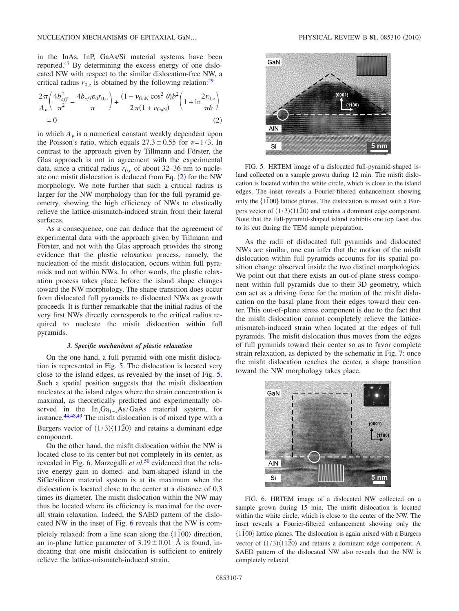in the InAs, InP, GaAs/Si material systems have been reported[.47](#page-9-21) By determining the excess energy of one dislocated NW with respect to the similar dislocation-free NW, a critical radius  $r_{0,c}$  is obtained by the following relation:<sup>29</sup>

<span id="page-6-0"></span>
$$
\frac{2\pi}{A_{\nu}} \left( \frac{4b_{eff}^2}{\pi^2} - \frac{4b_{eff} \epsilon_0 r_{0,c}}{\pi} \right) + \frac{(1 - \nu_{\text{GAN}} \cos^2 \theta) b^2}{2\pi (1 + \nu_{\text{GAN}})} \left( 1 + \ln \frac{2r_{0,c}}{\pi b} \right)
$$
  
= 0 (2)

in which  $A_{\nu}$  is a numerical constant weakly dependent upon the Poisson's ratio, which equals  $27.3 \pm 0.55$  for  $\nu = 1/3$ . In contrast to the approach given by Tillmann and Förster, the Glas approach is not in agreement with the experimental data, since a critical radius  $r_{0,c}$  of about 32–36 nm to nucle-ate one misfit dislocation is deduced from Eq. ([2](#page-6-0)) for the NW morphology. We note further that such a critical radius is larger for the NW morphology than for the full pyramid geometry, showing the high efficiency of NWs to elastically relieve the lattice-mismatch-induced strain from their lateral surfaces.

As a consequence, one can deduce that the agreement of experimental data with the approach given by Tillmann and Förster, and not with the Glas approach provides the strong evidence that the plastic relaxation process, namely, the nucleation of the misfit dislocation, occurs within full pyramids and not within NWs. In other words, the plastic relaxation process takes place before the island shape changes toward the NW morphology. The shape transition does occur from dislocated full pyramids to dislocated NWs as growth proceeds. It is further remarkable that the initial radius of the very first NWs directly corresponds to the critical radius required to nucleate the misfit dislocation within full pyramids.

#### *3. Specific mechanisms of plastic relaxation*

On the one hand, a full pyramid with one misfit dislocation is represented in Fig. [5.](#page-6-1) The dislocation is located very close to the island edges, as revealed by the inset of Fig. [5.](#page-6-1) Such a spatial position suggests that the misfit dislocation nucleates at the island edges where the strain concentration is maximal, as theoretically predicted and experimentally observed in the In<sub>x</sub>Ga<sub>1−*x*</sub>As/GaAs material system, for instance[.44](#page-9-20)[,48](#page-9-22)[,49](#page-9-23) The misfit dislocation is of mixed type with a Burgers vector of  $(1/3)\langle 1120 \rangle$  and retains a dominant edge component.

On the other hand, the misfit dislocation within the NW is located close to its center but not completely in its center, as revealed in Fig. [6.](#page-6-2) Marzegalli *et al.*[50](#page-9-24) evidenced that the relative energy gain in domed- and barn-shaped island in the SiGe/silicon material system is at its maximum when the dislocation is located close to the center at a distance of 0.3 times its diameter. The misfit dislocation within the NW may thus be located where its efficiency is maximal for the overall strain relaxation. Indeed, the SAED pattern of the dislocated NW in the inset of Fig. [6](#page-6-2) reveals that the NW is completely relaxed: from a line scan along the  $\langle 1100 \rangle$  direction, an in-plane lattice parameter of  $3.19 \pm 0.01$  Å is found, indicating that one misfit dislocation is sufficient to entirely relieve the lattice-mismatch-induced strain.

<span id="page-6-1"></span>

FIG. 5. HRTEM image of a dislocated full-pyramid-shaped island collected on a sample grown during 12 min. The misfit dislocation is located within the white circle, which is close to the island edges. The inset reveals a Fourier-filtered enhancement showing only the  ${1\overline{100}}$  lattice planes. The dislocation is mixed with a Burgers vector of  $(1/3)\langle11\overline{2}0\rangle$  and retains a dominant edge component. Note that the full-pyramid-shaped island exhibits one top facet due to its cut during the TEM sample preparation.

As the radii of dislocated full pyramids and dislocated NWs are similar, one can infer that the motion of the misfit dislocation within full pyramids accounts for its spatial position change observed inside the two distinct morphologies. We point out that there exists an out-of-plane stress component within full pyramids due to their 3D geometry, which can act as a driving force for the motion of the misfit dislocation on the basal plane from their edges toward their center. This out-of-plane stress component is due to the fact that the misfit dislocation cannot completely relieve the latticemismatch-induced strain when located at the edges of full pyramids. The misfit dislocation thus moves from the edges of full pyramids toward their center so as to favor complete strain relaxation, as depicted by the schematic in Fig. [7:](#page-7-0) once the misfit dislocation reaches the center, a shape transition toward the NW morphology takes place.

<span id="page-6-2"></span>

FIG. 6. HRTEM image of a dislocated NW collected on a sample grown during 15 min. The misfit dislocation is located within the white circle, which is close to the center of the NW. The inset reveals a Fourier-filtered enhancement showing only the 11*¯*00 lattice planes. The dislocation is again mixed with a Burgers vector of  $(1/3)\langle11\overline{2}0\rangle$  and retains a dominant edge component. A SAED pattern of the dislocated NW also reveals that the NW is completely relaxed.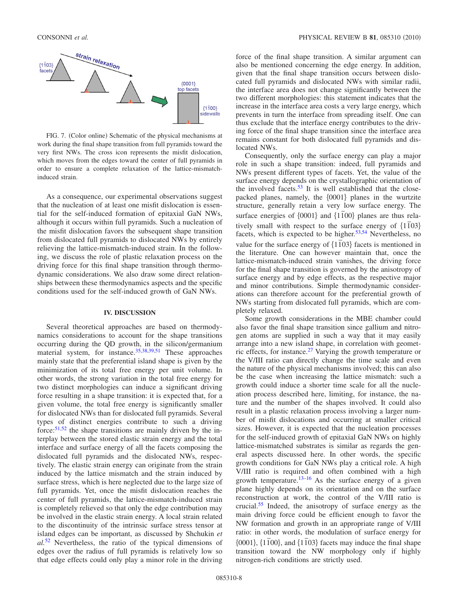<span id="page-7-0"></span>

FIG. 7. (Color online) Schematic of the physical mechanisms at work during the final shape transition from full pyramids toward the very first NWs. The cross icon represents the misfit dislocation, which moves from the edges toward the center of full pyramids in order to ensure a complete relaxation of the lattice-mismatchinduced strain.

As a consequence, our experimental observations suggest that the nucleation of at least one misfit dislocation is essential for the self-induced formation of epitaxial GaN NWs, although it occurs within full pyramids. Such a nucleation of the misfit dislocation favors the subsequent shape transition from dislocated full pyramids to dislocated NWs by entirely relieving the lattice-mismatch-induced strain. In the following, we discuss the role of plastic relaxation process on the driving force for this final shape transition through thermodynamic considerations. We also draw some direct relationships between these thermodynamics aspects and the specific conditions used for the self-induced growth of GaN NWs.

### **IV. DISCUSSION**

Several theoretical approaches are based on thermodynamics considerations to account for the shape transitions occurring during the QD growth, in the silicon/germanium material system, for instance[.35,](#page-9-9)[38](#page-9-12)[,39,](#page-9-13)[51](#page-9-25) These approaches mainly state that the preferential island shape is given by the minimization of its total free energy per unit volume. In other words, the strong variation in the total free energy for two distinct morphologies can induce a significant driving force resulting in a shape transition: it is expected that, for a given volume, the total free energy is significantly smaller for dislocated NWs than for dislocated full pyramids. Several types of distinct energies contribute to such a driving force: $51,52$  $51,52$  the shape transitions are mainly driven by the interplay between the stored elastic strain energy and the total interface and surface energy of all the facets composing the dislocated full pyramids and the dislocated NWs, respectively. The elastic strain energy can originate from the strain induced by the lattice mismatch and the strain induced by surface stress, which is here neglected due to the large size of full pyramids. Yet, once the misfit dislocation reaches the center of full pyramids, the lattice-mismatch-induced strain is completely relieved so that only the edge contribution may be involved in the elastic strain energy. A local strain related to the discontinuity of the intrinsic surface stress tensor at island edges can be important, as discussed by Shchukin *et al.*[52](#page-9-26) Nevertheless, the ratio of the typical dimensions of edges over the radius of full pyramids is relatively low so that edge effects could only play a minor role in the driving force of the final shape transition. A similar argument can also be mentioned concerning the edge energy. In addition, given that the final shape transition occurs between dislocated full pyramids and dislocated NWs with similar radii, the interface area does not change significantly between the two different morphologies: this statement indicates that the increase in the interface area costs a very large energy, which prevents in turn the interface from spreading itself. One can thus exclude that the interface energy contributes to the driving force of the final shape transition since the interface area remains constant for both dislocated full pyramids and dislocated NWs.

Consequently, only the surface energy can play a major role in such a shape transition: indeed, full pyramids and NWs present different types of facets. Yet, the value of the surface energy depends on the crystallographic orientation of the involved facets. $53$  It is well established that the closepacked planes, namely, the  ${0001}$  planes in the wurtzite structure, generally retain a very low surface energy. The surface energies of  $\{0001\}$  and  $\{1\overline{1}00\}$  planes are thus relatively small with respect to the surface energy of  $\{1\bar{1}03\}$ facets, which is expected to be higher.<sup>53[,54](#page-9-28)</sup> Nevertheless, no value for the surface energy of  $\{1\overline{1}03\}$  facets is mentioned in the literature. One can however maintain that, once the lattice-mismatch-induced strain vanishes, the driving force for the final shape transition is governed by the anisotropy of surface energy and by edge effects, as the respective major and minor contributions. Simple thermodynamic considerations can therefore account for the preferential growth of NWs starting from dislocated full pyramids, which are completely relaxed.

Some growth considerations in the MBE chamber could also favor the final shape transition since gallium and nitrogen atoms are supplied in such a way that it may easily arrange into a new island shape, in correlation with geometric effects, for instance[.27](#page-9-1) Varying the growth temperature or the V/III ratio can directly change the time scale and even the nature of the physical mechanisms involved; this can also be the case when increasing the lattice mismatch: such a growth could induce a shorter time scale for all the nucleation process described here, limiting, for instance, the nature and the number of the shapes involved. It could also result in a plastic relaxation process involving a larger number of misfit dislocations and occurring at smaller critical sizes. However, it is expected that the nucleation processes for the self-induced growth of epitaxial GaN NWs on highly lattice-mismatched substrates is similar as regards the general aspects discussed here. In other words, the specific growth conditions for GaN NWs play a critical role. A high V/III ratio is required and often combined with a high growth temperature.<sup>13[–16](#page-8-10)</sup> As the surface energy of a given plane highly depends on its orientation and on the surface reconstruction at work, the control of the V/III ratio is crucial[.55](#page-9-29) Indeed, the anisotropy of surface energy as the main driving force could be efficient enough to favor the NW formation and growth in an appropriate range of V/III ratio: in other words, the modulation of surface energy for  $\{0001\}$ ,  $\{1\overline{1}00\}$ , and  $\{1\overline{1}03\}$  facets may induce the final shape transition toward the NW morphology only if highly nitrogen-rich conditions are strictly used.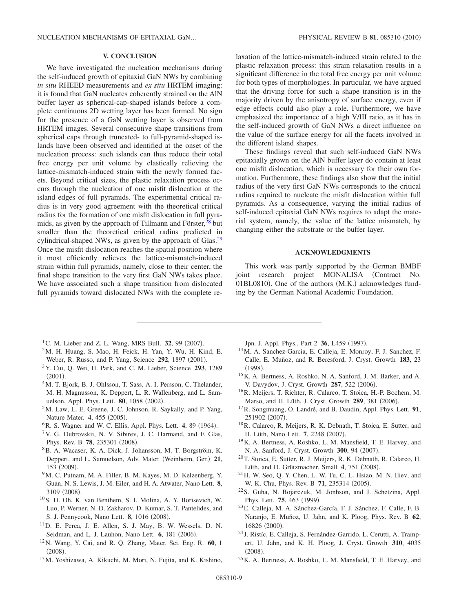## **V. CONCLUSION**

We have investigated the nucleation mechanisms during the self-induced growth of epitaxial GaN NWs by combining *in situ* RHEED measurements and *ex situ* HRTEM imaging: it is found that GaN nucleates coherently strained on the AlN buffer layer as spherical-cap-shaped islands before a complete continuous 2D wetting layer has been formed. No sign for the presence of a GaN wetting layer is observed from HRTEM images. Several consecutive shape transitions from spherical caps through truncated- to full-pyramid-shaped islands have been observed and identified at the onset of the nucleation process: such islands can thus reduce their total free energy per unit volume by elastically relieving the lattice-mismatch-induced strain with the newly formed facets. Beyond critical sizes, the plastic relaxation process occurs through the nucleation of one misfit dislocation at the island edges of full pyramids. The experimental critical radius is in very good agreement with the theoretical critical radius for the formation of one misfit dislocation in full pyramids, as given by the approach of Tillmann and Förster, $^{28}$  but smaller than the theoretical critical radius predicted in cylindrical-shaped NWs, as given by the approach of Glas. $29$ Once the misfit dislocation reaches the spatial position where it most efficiently relieves the lattice-mismatch-induced strain within full pyramids, namely, close to their center, the final shape transition to the very first GaN NWs takes place. We have associated such a shape transition from dislocated full pyramids toward dislocated NWs with the complete relaxation of the lattice-mismatch-induced strain related to the plastic relaxation process: this strain relaxation results in a significant difference in the total free energy per unit volume for both types of morphologies. In particular, we have argued that the driving force for such a shape transition is in the majority driven by the anisotropy of surface energy, even if edge effects could also play a role. Furthermore, we have emphasized the importance of a high V/III ratio, as it has in the self-induced growth of GaN NWs a direct influence on the value of the surface energy for all the facets involved in the different island shapes.

These findings reveal that such self-induced GaN NWs epitaxially grown on the AlN buffer layer do contain at least one misfit dislocation, which is necessary for their own formation. Furthermore, these findings also show that the initial radius of the very first GaN NWs corresponds to the critical radius required to nucleate the misfit dislocation within full pyramids. As a consequence, varying the initial radius of self-induced epitaxial GaN NWs requires to adapt the material system, namely, the value of the lattice mismatch, by changing either the substrate or the buffer layer.

## **ACKNOWLEDGMENTS**

This work was partly supported by the German BMBF joint research project MONALISA Contract No. 01BL0810). One of the authors (M.K.) acknowledges funding by the German National Academic Foundation.

- <span id="page-8-0"></span><sup>1</sup> C. M. Lieber and Z. L. Wang, MRS Bull. **32**, 99 (2007).
- <span id="page-8-1"></span>2M. H. Huang, S. Mao, H. Feick, H. Yan, Y. Wu, H. Kind, E. Weber, R. Russo, and P. Yang, Science 292, 1897 (2001).
- 3Y. Cui, Q. Wei, H. Park, and C. M. Lieber, Science **293**, 1289  $(2001).$
- 4M. T. Bjork, B. J. Ohlsson, T. Sass, A. I. Persson, C. Thelander, M. H. Magnusson, K. Deppert, L. R. Wallenberg, and L. Samuelson, Appl. Phys. Lett. **80**, 1058 (2002).
- <span id="page-8-2"></span>5M. Law, L. E. Greene, J. C. Johnson, R. Saykally, and P. Yang, Nature Mater. 4, 455 (2005).
- <span id="page-8-3"></span><sup>6</sup> R. S. Wagner and W. C. Ellis, Appl. Phys. Lett. 4, 89 (1964).
- <span id="page-8-4"></span><sup>7</sup>V. G. Dubrovskii, N. V. Sibirev, J. C. Harmand, and F. Glas, Phys. Rev. B 78, 235301 (2008).
- <span id="page-8-5"></span>8B. A. Wacaser, K. A. Dick, J. Johansson, M. T. Borgström, K. Deppert, and L. Samuelson, Adv. Mater. (Weinheim, Ger.) 21, 153 (2009).
- <span id="page-8-6"></span>9M. C. Putnam, M. A. Filler, B. M. Kayes, M. D. Kelzenberg, Y. Guan, N. S. Lewis, J. M. Eiler, and H. A. Atwater, Nano Lett. **8**, 3109 (2008).
- 10S. H. Oh, K. van Benthem, S. I. Molina, A. Y. Borisevich, W. Luo, P. Werner, N. D. Zakharov, D. Kumar, S. T. Pantelides, and S. J. Pennycook, Nano Lett. 8, 1016 (2008).
- <span id="page-8-7"></span>11D. E. Perea, J. E. Allen, S. J. May, B. W. Wessels, D. N. Seidman, and L. J. Lauhon, Nano Lett. 6, 181 (2006).
- <span id="page-8-8"></span>12N. Wang, Y. Cai, and R. Q. Zhang, Mater. Sci. Eng. R. **60**, 1  $(2008).$
- <span id="page-8-9"></span>13M. Yoshizawa, A. Kikuchi, M. Mori, N. Fujita, and K. Kishino,

Jpn. J. Appl. Phys., Part 2 36, L459 (1997).

- 14M. A. Sanchez-Garcia, E. Calleja, E. Monroy, F. J. Sanchez, F. Calle, E. Muñoz, and R. Beresford, J. Cryst. Growth **183**, 23  $(1998).$
- 15K. A. Bertness, A. Roshko, N. A. Sanford, J. M. Barker, and A. V. Davydov, J. Cryst. Growth 287, 522 (2006).
- <span id="page-8-10"></span>16R. Meijers, T. Richter, R. Calarco, T. Stoica, H.-P. Bochem, M. Marso, and H. Lüth, J. Cryst. Growth 289, 381 (2006).
- <span id="page-8-11"></span>17R. Songmuang, O. Landré, and B. Daudin, Appl. Phys. Lett. **91**, 251902 (2007).
- <span id="page-8-17"></span>18R. Calarco, R. Meijers, R. K. Debnath, T. Stoica, E. Sutter, and H. Lüth, Nano Lett. 7, 2248 (2007).
- <span id="page-8-19"></span>19K. A. Bertness, A. Roshko, L. M. Mansfield, T. E. Harvey, and N. A. Sanford, J. Cryst. Growth 300, 94 (2007).
- <span id="page-8-18"></span>20T. Stoica, E. Sutter, R. J. Meijers, R. K. Debnath, R. Calarco, H. Lüth, and D. Grützmacher, Small 4, 751 (2008).
- <span id="page-8-12"></span>21H. W. Seo, Q. Y. Chen, L. W. Tu, C. L. Hsiao, M. N. Iliev, and W. K. Chu, Phys. Rev. B 71, 235314 (2005).
- <span id="page-8-13"></span>22S. Guha, N. Bojarczuk, M. Jonhson, and J. Schetzina, Appl. Phys. Lett. **75**, 463 (1999).
- <span id="page-8-14"></span>23E. Calleja, M. A. Sánchez-García, F. J. Sánchez, F. Calle, F. B. Naranjo, E. Muňoz, U. Jahn, and K. Ploog, Phys. Rev. B **62**, 16826 (2000).
- <span id="page-8-15"></span><sup>24</sup> J. Ristíc, E. Calleja, S. Fernández-Garrido, L. Cerutti, A. Trampert, U. Jahn, and K. H. Ploog, J. Cryst. Growth **310**, 4035  $(2008).$
- <span id="page-8-16"></span>25K. A. Bertness, A. Roshko, L. M. Mansfield, T. E. Harvey, and